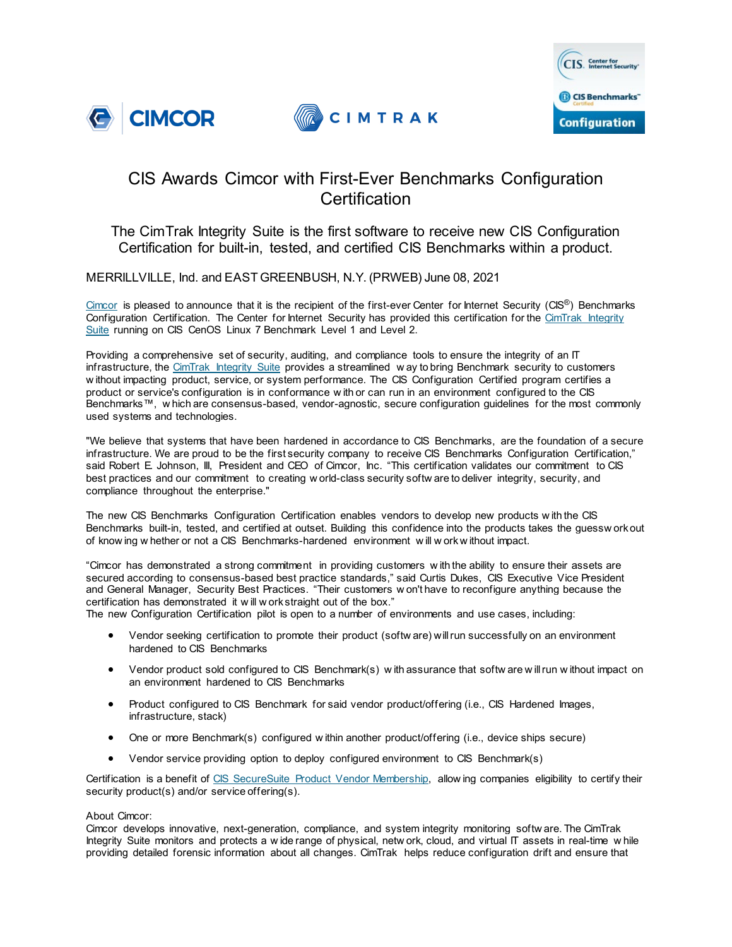





## CIS Awards Cimcor with First-Ever Benchmarks Configuration **Certification**

## The CimTrak Integrity Suite is the first software to receive new CIS Configuration Certification for built-in, tested, and certified CIS Benchmarks within a product.

MERRILLVILLE, Ind. and EAST GREENBUSH, N.Y. (PRWEB) June 08, 2021

[Cimcor](https://www.cimcor.com/?utm_campaign=Press%20Releases&utm_source=PRWEB&utm_medium=CIS%20Benchmarks%20Certification) is pleased to announce that it is the recipient of the first-ever Center for Internet Security (CIS<sup>®</sup>) Benchmarks Configuration Certification. The Center for Internet Security has provided this certification for the CimTrak Integrity [Suite](https://www.cimcor.com/cimtrak/?utm_campaign=Press%20Releases&utm_source=PRWEB&utm_medium=CIS%20Benchmarks%20Certification) running on CIS CenOS Linux 7 Benchmark Level 1 and Level 2.

Providing a comprehensive set of security, auditing, and compliance tools to ensure the integrity of an IT infrastructure, the [CimTrak Integrity Suite](https://www.cimcor.com/cimtrak/?utm_campaign=Press%20Releases&utm_source=PRWEB&utm_medium=CIS%20Benchmarks%20Certification) provides a streamlined w ay to bring Benchmark security to customers w ithout impacting product, service, or system performance. The CIS Configuration Certified program certifies a product or service's configuration is in conformance w ith or can run in an environment configured to the CIS Benchmarks™, w hich are consensus-based, vendor-agnostic, secure configuration guidelines for the most commonly used systems and technologies.

"We believe that systems that have been hardened in accordance to CIS Benchmarks, are the foundation of a secure infrastructure. We are proud to be the first security company to receive CIS Benchmarks Configuration Certification," said Robert E. Johnson, III, President and CEO of Cimcor, Inc. "This certification validates our commitment to CIS best practices and our commitment to creating w orld-class security softw are to deliver integrity, security, and compliance throughout the enterprise."

The new CIS Benchmarks Configuration Certification enables vendors to develop new products w ith the CIS Benchmarks built-in, tested, and certified at outset. Building this confidence into the products takes the guessw ork out of know ing w hether or not a CIS Benchmarks-hardened environment w ill w ork w ithout impact.

"Cimcor has demonstrated a strong commitment in providing customers w ith the ability to ensure their assets are secured according to consensus-based best practice standards," said Curtis Dukes, CIS Executive Vice President and General Manager, Security Best Practices. "Their customers w on't have to reconfigure anything because the certification has demonstrated it w ill w ork straight out of the box."

The new Configuration Certification pilot is open to a number of environments and use cases, including:

- Vendor seeking certification to promote their product (softw are) will run successfully on an environment hardened to CIS Benchmarks
- Vendor product sold configured to CIS Benchmark(s) w ith assurance that softw are w ill run w ithout impact on an environment hardened to CIS Benchmarks
- Product configured to CIS Benchmark for said vendor product/offering (i.e., CIS Hardened Images, infrastructure, stack)
- One or more Benchmark(s) configured w ithin another product/offering (i.e., device ships secure)
- Vendor service providing option to deploy configured environment to CIS Benchmark(s)

Certification is a benefit of [CIS SecureSuite Product Vendor Membership,](https://www.cisecurity.org/cis-securesuite/pricing-and-categories/product-vendor/) allow ing companies eligibility to certify their security product(s) and/or service offering(s).

## About Cimcor:

Cimcor develops innovative, next-generation, compliance, and system integrity monitoring softw are. The CimTrak Integrity Suite monitors and protects a w ide range of physical, netw ork, cloud, and virtual IT assets in real-time w hile providing detailed forensic information about all changes. CimTrak helps reduce configuration drift and ensure that